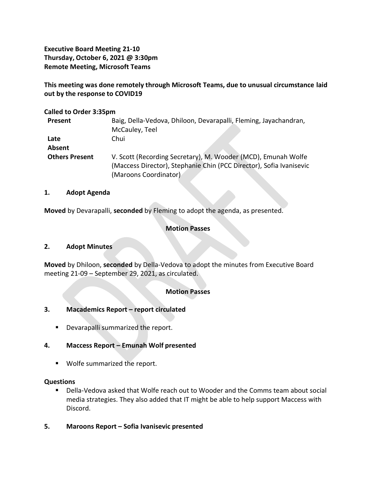**Executive Board Meeting 21-10 Thursday, October 6, 2021 @ 3:30pm Remote Meeting, Microsoft Teams**

**This meeting was done remotely through Microsoft Teams, due to unusual circumstance laid out by the response to COVID19**

#### **Called to Order 3:35pm**

| Present               | Baig, Della-Vedova, Dhiloon, Devarapalli, Fleming, Jayachandran,    |
|-----------------------|---------------------------------------------------------------------|
|                       | McCauley, Teel                                                      |
| Late                  | Chui                                                                |
| Absent                |                                                                     |
| <b>Others Present</b> | V. Scott (Recording Secretary), M. Wooder (MCD), Emunah Wolfe       |
|                       | (Maccess Director), Stephanie Chin (PCC Director), Sofia Ivanisevic |
|                       | (Maroons Coordinator)                                               |

#### **1. Adopt Agenda**

**Moved** by Devarapalli, **seconded** by Fleming to adopt the agenda, as presented.

## **Motion Passes**

## **2. Adopt Minutes**

**Moved** by Dhiloon, **seconded** by Della-Vedova to adopt the minutes from Executive Board meeting 21-09 – September 29, 2021, as circulated.

## **Motion Passes**

## **3. Macademics Report – report circulated**

■ Devarapalli summarized the report.

## **4. Maccess Report – Emunah Wolf presented**

▪ Wolfe summarized the report.

## **Questions**

- Della-Vedova asked that Wolfe reach out to Wooder and the Comms team about social media strategies. They also added that IT might be able to help support Maccess with Discord.
- **5. Maroons Report – Sofia Ivanisevic presented**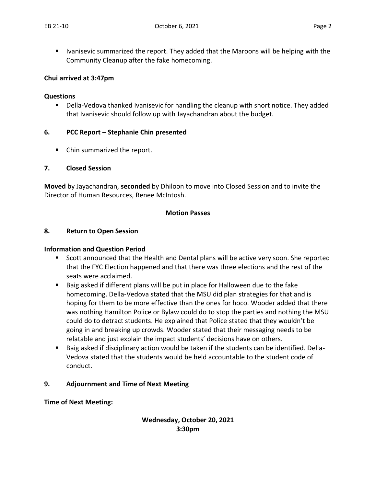■ Ivanisevic summarized the report. They added that the Maroons will be helping with the Community Cleanup after the fake homecoming.

## **Chui arrived at 3:47pm**

#### **Questions**

■ Della-Vedova thanked Ivanisevic for handling the cleanup with short notice. They added that Ivanisevic should follow up with Jayachandran about the budget.

## **6. PCC Report – Stephanie Chin presented**

■ Chin summarized the report.

#### **7. Closed Session**

**Moved** by Jayachandran, **seconded** by Dhiloon to move into Closed Session and to invite the Director of Human Resources, Renee McIntosh.

#### **Motion Passes**

#### **8. Return to Open Session**

## **Information and Question Period**

- Scott announced that the Health and Dental plans will be active very soon. She reported that the FYC Election happened and that there was three elections and the rest of the seats were acclaimed.
- Baig asked if different plans will be put in place for Halloween due to the fake homecoming. Della-Vedova stated that the MSU did plan strategies for that and is hoping for them to be more effective than the ones for hoco. Wooder added that there was nothing Hamilton Police or Bylaw could do to stop the parties and nothing the MSU could do to detract students. He explained that Police stated that they wouldn't be going in and breaking up crowds. Wooder stated that their messaging needs to be relatable and just explain the impact students' decisions have on others.
- Baig asked if disciplinary action would be taken if the students can be identified. Della-Vedova stated that the students would be held accountable to the student code of conduct.

## **9. Adjournment and Time of Next Meeting**

**Time of Next Meeting:** 

**Wednesday, October 20, 2021 3:30pm**